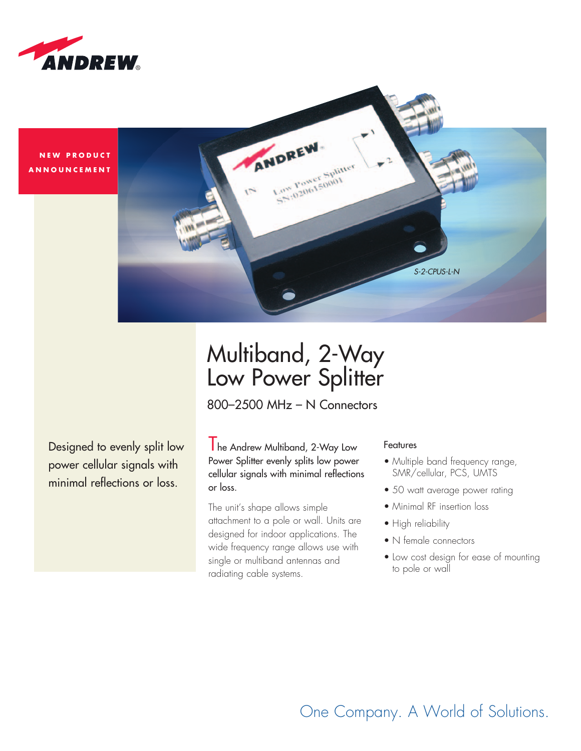

**NEW PRODUCT ANNOUNCEMENT** 



## Multiband, 2-Way Low Power Splitter

800–2500 MHz – N Connectors

Designed to evenly split low power cellular signals with minimal reflections or loss.

The Andrew Multiband, 2-Way Low Power Splitter evenly splits low power cellular signals with minimal reflections or loss.

The unit's shape allows simple attachment to a pole or wall. Units are designed for indoor applications. The wide frequency range allows use with single or multiband antennas and radiating cable systems.

## Features

- Multiple band frequency range, SMR/cellular, PCS, UMTS
- 50 watt average power rating
- Minimal RF insertion loss
- High reliability
- N female connectors
- Low cost design for ease of mounting to pole or wall

One Company. A World of Solutions.